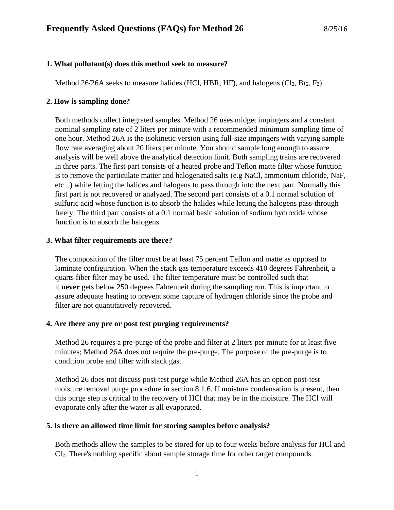### **1. What pollutant(s) does this method seek to measure?**

Method  $26/26A$  seeks to measure halides (HCl, HBR, HF), and halogens (Cl<sub>2</sub>, Br<sub>2</sub>, F<sub>2</sub>).

### **2. How is sampling done?**

Both methods collect integrated samples. Method 26 uses midget impingers and a constant nominal sampling rate of 2 liters per minute with a recommended minimum sampling time of one hour. Method 26A is the isokinetic version using full-size impingers with varying sample flow rate averaging about 20 liters per minute. You should sample long enough to assure analysis will be well above the analytical detection limit. Both sampling trains are recovered in three parts. The first part consists of a heated probe and Teflon matte filter whose function is to remove the particulate matter and halogenated salts (e.g NaCl, ammonium chloride, NaF, etc...) while letting the halides and halogens to pass through into the next part. Normally this first part is not recovered or analyzed. The second part consists of a 0.1 normal solution of sulfuric acid whose function is to absorb the halides while letting the halogens pass-through freely. The third part consists of a 0.1 normal basic solution of sodium hydroxide whose function is to absorb the halogens.

## **3. What filter requirements are there?**

The composition of the filter must be at least 75 percent Teflon and matte as opposed to laminate configuration. When the stack gas temperature exceeds 410 degrees Fahrenheit, a quarts fiber filter may be used. The filter temperature must be controlled such that it **never** gets below 250 degrees Fahrenheit during the sampling run. This is important to assure adequate heating to prevent some capture of hydrogen chloride since the probe and filter are not quantitatively recovered.

### **4. Are there any pre or post test purging requirements?**

Method 26 requires a pre-purge of the probe and filter at 2 liters per minute for at least five minutes; Method 26A does not require the pre-purge. The purpose of the pre-purge is to condition probe and filter with stack gas.

Method 26 does not discuss post-test purge while Method 26A has an option post-test moisture removal purge procedure in section 8.1.6. If moisture condensation is present, then this purge step is critical to the recovery of HCl that may be in the moisture. The HCl will evaporate only after the water is all evaporated.

### **5. Is there an allowed time limit for storing samples before analysis?**

Both methods allow the samples to be stored for up to four weeks before analysis for HCl and Cl2. There's nothing specific about sample storage time for other target compounds.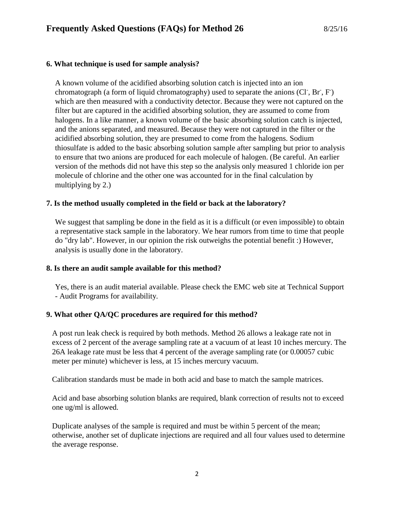## **6. What technique is used for sample analysis?**

A known volume of the acidified absorbing solution catch is injected into an ion chromatograph (a form of liquid chromatography) used to separate the anions (Cl, Br, F) which are then measured with a conductivity detector. Because they were not captured on the filter but are captured in the acidified absorbing solution, they are assumed to come from halogens. In a like manner, a known volume of the basic absorbing solution catch is injected, and the anions separated, and measured. Because they were not captured in the filter or the acidified absorbing solution, they are presumed to come from the halogens. Sodium thiosulfate is added to the basic absorbing solution sample after sampling but prior to analysis to ensure that two anions are produced for each molecule of halogen. (Be careful. An earlier version of the methods did not have this step so the analysis only measured 1 chloride ion per molecule of chlorine and the other one was accounted for in the final calculation by multiplying by 2.)

## **7. Is the method usually completed in the field or back at the laboratory?**

We suggest that sampling be done in the field as it is a difficult (or even impossible) to obtain a representative stack sample in the laboratory. We hear rumors from time to time that people do "dry lab". However, in our opinion the risk outweighs the potential benefit :) However, analysis is usually done in the laboratory.

### **8. Is there an audit sample available for this method?**

Yes, there is an audit material available. Please check the EMC web site at [Technical Support](https://www3.epa.gov/ttn/emc/email.html#audit)  - [Audit Programs](https://www3.epa.gov/ttn/emc/email.html#audit) for availability.

# **9. What other QA/QC procedures are required for this method?**

A post run leak check is required by both methods. Method 26 allows a leakage rate not in excess of 2 percent of the average sampling rate at a vacuum of at least 10 inches mercury. The 26A leakage rate must be less that 4 percent of the average sampling rate (or 0.00057 cubic meter per minute) whichever is less, at 15 inches mercury vacuum.

Calibration standards must be made in both acid and base to match the sample matrices.

Acid and base absorbing solution blanks are required, blank correction of results not to exceed one ug/ml is allowed.

Duplicate analyses of the sample is required and must be within 5 percent of the mean; otherwise, another set of duplicate injections are required and all four values used to determine the average response.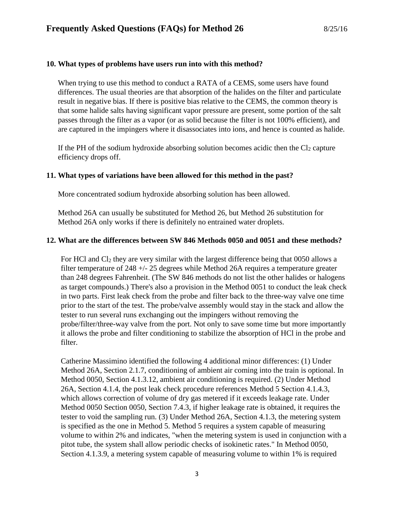### **10. What types of problems have users run into with this method?**

When trying to use this method to conduct a RATA of a CEMS, some users have found differences. The usual theories are that absorption of the halides on the filter and particulate result in negative bias. If there is positive bias relative to the CEMS, the common theory is that some halide salts having significant vapor pressure are present, some portion of the salt passes through the filter as a vapor (or as solid because the filter is not 100% efficient), and are captured in the impingers where it disassociates into ions, and hence is counted as halide.

If the PH of the sodium hydroxide absorbing solution becomes acidic then the  $Cl_2$  capture efficiency drops off.

## **11. What types of variations have been allowed for this method in the past?**

More concentrated sodium hydroxide absorbing solution has been allowed.

Method 26A can usually be substituted for Method 26, but Method 26 substitution for Method 26A only works if there is definitely no entrained water droplets.

## **12. What are the differences between SW 846 Methods 0050 and 0051 and these methods?**

For HCl and  $Cl<sub>2</sub>$  they are very similar with the largest difference being that 0050 allows a filter temperature of 248 +/- 25 degrees while Method 26A requires a temperature greater than 248 degrees Fahrenheit. (The SW 846 methods do not list the other halides or halogens as target compounds.) There's also a provision in the Method 0051 to conduct the leak check in two parts. First leak check from the probe and filter back to the three-way valve one time prior to the start of the test. The probe/valve assembly would stay in the stack and allow the tester to run several runs exchanging out the impingers without removing the probe/filter/three-way valve from the port. Not only to save some time but more importantly it allows the probe and filter conditioning to stabilize the absorption of HCl in the probe and filter.

Catherine Massimino identified the following 4 additional minor differences: (1) Under Method 26A, Section 2.1.7, conditioning of ambient air coming into the train is optional. In Method 0050, Section 4.1.3.12, ambient air conditioning is required. (2) Under Method 26A, Section 4.1.4, the post leak check procedure references Method 5 Section 4.1.4.3, which allows correction of volume of dry gas metered if it exceeds leakage rate. Under Method 0050 Section 0050, Section 7.4.3, if higher leakage rate is obtained, it requires the tester to void the sampling run. (3) Under Method 26A, Section 4.1.3, the metering system is specified as the one in Method 5. Method 5 requires a system capable of measuring volume to within 2% and indicates, "when the metering system is used in conjunction with a pitot tube, the system shall allow periodic checks of isokinetic rates." In Method 0050, Section 4.1.3.9, a metering system capable of measuring volume to within 1% is required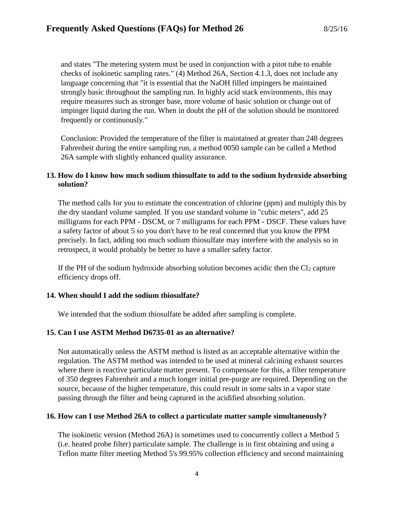and states "The metering system must be used in conjunction with a pitot tube to enable checks of isokinetic sampling rates." (4) Method 26A, Section 4.1.3, does not include any language concerning that "it is essential that the NaOH filled impingers be maintained strongly basic throughout the sampling run. In highly acid stack environments, this may require measures such as stronger base, more volume of basic solution or change out of impinger liquid during the run. When in doubt the pH of the solution should be monitored frequently or continuously."

Conclusion: Provided the temperature of the filter is maintained at greater than 248 degrees Fahrenheit during the entire sampling run, a method 0050 sample can be called a Method 26A sample with slightly enhanced quality assurance.

## **13. How do I know how much sodium thiosulfate to add to the sodium hydroxide absorbing solution?**

The method calls for you to estimate the concentration of chlorine (ppm) and multiply this by the dry standard volume sampled. If you use standard volume in "cubic meters", add 25 milligrams for each PPM - DSCM, or 7 milligrams for each PPM - DSCF. These values have a safety factor of about 5 so you don't have to be real concerned that you know the PPM precisely. In fact, adding too much sodium thiosulfate may interfere with the analysis so in retrospect, it would probably be better to have a smaller safety factor.

If the PH of the sodium hydroxide absorbing solution becomes acidic then the  $Cl_2$  capture efficiency drops off.

### **14. When should I add the sodium thiosulfate?**

We intended that the sodium thiosulfate be added after sampling is complete.

# **15. Can I use ASTM Method D6735-01 as an alternative?**

Not automatically unless the ASTM method is listed as an acceptable alternative within the regulation. The ASTM method was intended to be used at mineral calcining exhaust sources where there is reactive particulate matter present. To compensate for this, a filter temperature of 350 degrees Fahrenheit and a much longer initial pre-purge are required. Depending on the source, because of the higher temperature, this could result in some salts in a vapor state passing through the filter and being captured in the acidified absorbing solution.

# **16. How can I use Method 26A to collect a particulate matter sample simultaneously?**

The isokinetic version (Method 26A) is sometimes used to concurrently collect a Method 5 (i.e. heated probe filter) particulate sample. The challenge is in first obtaining and using a Teflon matte filter meeting Method 5's 99.95% collection efficiency and second maintaining